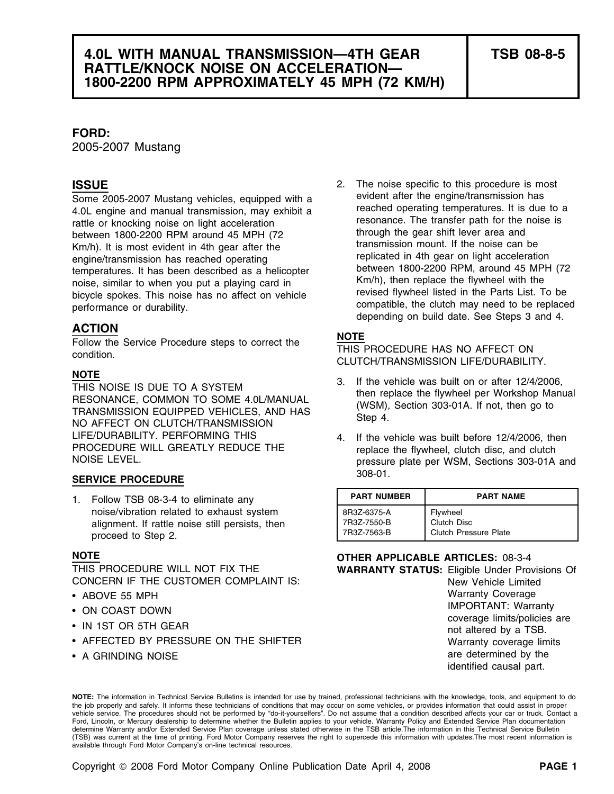## **FORD:**

2005-2007 Mustang

4.0L engine and manual transmission, may exhibit a<br>
rattle or knocking noise on light acceleration<br>
between 1800-2200 RPM around 45 MPH (72<br>
km/h) It is most evident in 4th gear after the transmission mount. If the noise Km/h). It is most evident in 4th gear after the transmission mount. It the noise can be<br>engine/transmission has reached operating entities replicated in 4th gear on light acceleration

**ACTION**<br> **Follow the Service Procedure steps to correct the THIS PROCEDURE HAS NO AFFECT ON condition.**<br>
CLUTCH/TRANSMISSION LIFE/DURABILITY.

LIFE/DURABILITY. PERFORMING THIS 4. If the vehicle was built before 12/4/2006, then<br>PROCEDURE WILL GREATLY REDUCE THE replace the flywheel clutch disc, and clutch PROCEDURE WILL GREATLY REDUCE THE replace the flywheel, clutch disc, and clutch<br>NOISE LEVEL. The reserve plate per WSM. Sections 303-014

## 308-01. **SERVICE PROCEDURE**

1. Follow TSB 08-3-4 to eliminate any noise/vibration related to exhaust system alignment. If rattle noise still persists, then proceed to Step 2.

CONCERN IF THE CUSTOMER COMPLAINT IS: New Yehicle Limited

- ABOVE 55 MPH
- 
- IN 1ST OR 5TH GEAR
- AFFECTED BY PRESSURE ON THE SHIFTER WATH THE Warranty coverage limits
- A GRINDING NOISE are determined by the

2. The noise specific to this procedure is most **ISSUE** Some 2005-2007 Mustang vehicles, equipped with a evident after the engine/transmission has<br>4.0L engine and manual transmission, may exhibit a reached operating temperatures. It is due to a engine/transmission has reached operating<br>temperatures. It has been described as a helicopter<br>noise, similar to when you put a playing card in<br>bicycle spokes. This noise has no affect on vehicle<br>performance or durability.<br>

- **NOTE**<br>
THIS NOISE IS DUE TO A SYSTEM<br>
RESONANCE, COMMON TO SOME 4.0L/MANUAL<br>
TRANSMISSION EQUIPPED VEHICLES, AND HAS (WSM), Section 303-01A. If not, then go to<br>
NO AFFECT ON CLUTCH/TRANSMISSION<br>
NO AFFECT ON CLUTCH/TRANSM
	- pressure plate per WSM, Sections 303-01A and

| <b>PART NUMBER</b> | <b>PART NAME</b>             |
|--------------------|------------------------------|
| 8R3Z-6375-A        | Flywheel                     |
| 7R3Z-7550-B        | Clutch Disc                  |
| 7R3Z-7563-B        | <b>Clutch Pressure Plate</b> |

## **NOTE OTHER APPLICABLE ARTICLES:** 08-3-4 THIS PROCEDURE WILL NOT FIX THE **WARRANTY STATUS:** Eligible Under Provisions Of

**Warranty Coverage** • ON COAST DOWN **IMPORTANT:** Warranty coverage limits/policies are not altered by a TSB. identified causal part.

**NOTE:** The information in Technical Service Bulletins is intended for use by trained, professional technicians with the knowledge, tools, and equipment to do the job properly and safely. It informs these technicians of conditions that may occur on some vehicles, or provides information that could assist in proper vehicle service. The procedures should not be performed by "do-it-yourselfers". Do not assume that a condition described affects your car or truck. Contact a Ford, Lincoln, or Mercury dealership to determine whether the Bulletin applies to your vehicle. Warranty Policy and Extended Service Plan documentation determine Warranty and/or Extended Service Plan coverage unless stated otherwise in the TSB article.The information in this Technical Service Bulletin (TSB) was current at the time of printing. Ford Motor Company reserves the right to supercede this information with updates.The most recent information is available through Ford Motor Company's on-line technical resources.